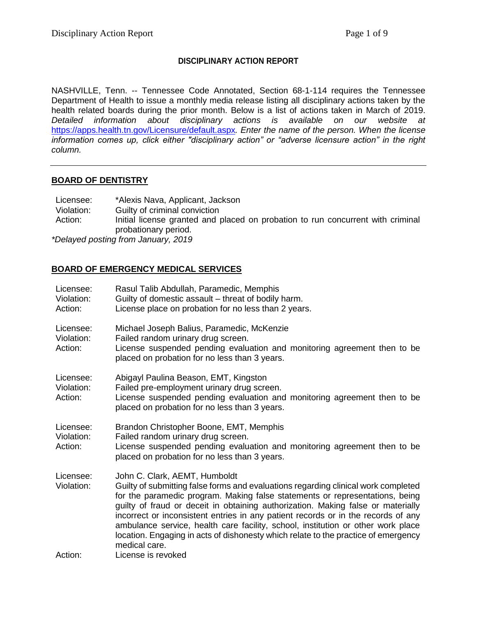### **DISCIPLINARY ACTION REPORT**

NASHVILLE, Tenn. -- Tennessee Code Annotated, Section 68-1-114 requires the Tennessee Department of Health to issue a monthly media release listing all disciplinary actions taken by the health related boards during the prior month. Below is a list of actions taken in March of 2019. *Detailed information about disciplinary actions is available on our website at*  <https://apps.health.tn.gov/Licensure/default.aspx>*. Enter the name of the person. When the license information comes up, click either "disciplinary action" or "adverse licensure action" in the right column.*

### **BOARD OF DENTISTRY**

Licensee: \*Alexis Nava, Applicant, Jackson Violation: Guilty of criminal conviction Action: Initial license granted and placed on probation to run concurrent with criminal probationary period. *\*Delayed posting from January, 2019*

# **BOARD OF EMERGENCY MEDICAL SERVICES**

| Licensee:<br>Violation:<br>Action: | Rasul Talib Abdullah, Paramedic, Memphis<br>Guilty of domestic assault – threat of bodily harm.<br>License place on probation for no less than 2 years.                                                                                                                                                                                                                                                                                                                                                                                                                 |
|------------------------------------|-------------------------------------------------------------------------------------------------------------------------------------------------------------------------------------------------------------------------------------------------------------------------------------------------------------------------------------------------------------------------------------------------------------------------------------------------------------------------------------------------------------------------------------------------------------------------|
| Licensee:<br>Violation:<br>Action: | Michael Joseph Balius, Paramedic, McKenzie<br>Failed random urinary drug screen.<br>License suspended pending evaluation and monitoring agreement then to be<br>placed on probation for no less than 3 years.                                                                                                                                                                                                                                                                                                                                                           |
| Licensee:<br>Violation:<br>Action: | Abigayl Paulina Beason, EMT, Kingston<br>Failed pre-employment urinary drug screen.<br>License suspended pending evaluation and monitoring agreement then to be<br>placed on probation for no less than 3 years.                                                                                                                                                                                                                                                                                                                                                        |
| Licensee:<br>Violation:<br>Action: | Brandon Christopher Boone, EMT, Memphis<br>Failed random urinary drug screen.<br>License suspended pending evaluation and monitoring agreement then to be<br>placed on probation for no less than 3 years.                                                                                                                                                                                                                                                                                                                                                              |
| Licensee:<br>Violation:            | John C. Clark, AEMT, Humboldt<br>Guilty of submitting false forms and evaluations regarding clinical work completed<br>for the paramedic program. Making false statements or representations, being<br>guilty of fraud or deceit in obtaining authorization. Making false or materially<br>incorrect or inconsistent entries in any patient records or in the records of any<br>ambulance service, health care facility, school, institution or other work place<br>location. Engaging in acts of dishonesty which relate to the practice of emergency<br>medical care. |
| Action:                            | License is revoked                                                                                                                                                                                                                                                                                                                                                                                                                                                                                                                                                      |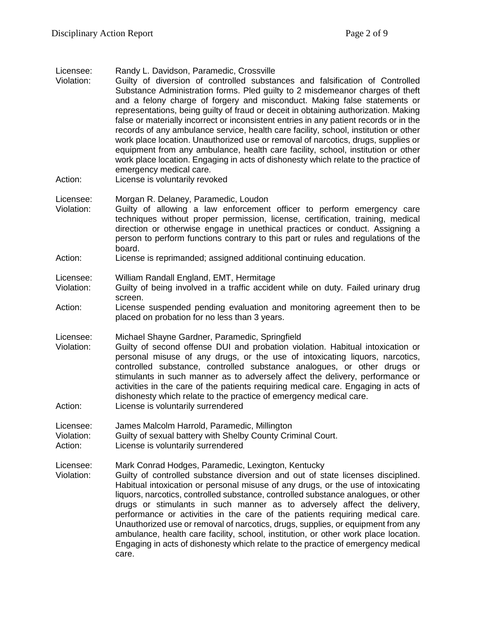#### Licensee: Randy L. Davidson, Paramedic, Crossville

- Violation: Guilty of diversion of controlled substances and falsification of Controlled Substance Administration forms. Pled guilty to 2 misdemeanor charges of theft and a felony charge of forgery and misconduct. Making false statements or representations, being guilty of fraud or deceit in obtaining authorization. Making false or materially incorrect or inconsistent entries in any patient records or in the records of any ambulance service, health care facility, school, institution or other work place location. Unauthorized use or removal of narcotics, drugs, supplies or equipment from any ambulance, health care facility, school, institution or other work place location. Engaging in acts of dishonesty which relate to the practice of emergency medical care.
- Action: License is voluntarily revoked

Licensee: Morgan R. Delaney, Paramedic, Loudon

- Violation: Guilty of allowing a law enforcement officer to perform emergency care techniques without proper permission, license, certification, training, medical direction or otherwise engage in unethical practices or conduct. Assigning a person to perform functions contrary to this part or rules and regulations of the board.
- Action: License is reprimanded; assigned additional continuing education.
- Licensee: William Randall England, EMT, Hermitage
- Violation: Guilty of being involved in a traffic accident while on duty. Failed urinary drug screen.
- Action: License suspended pending evaluation and monitoring agreement then to be placed on probation for no less than 3 years.
- Licensee: Michael Shayne Gardner, Paramedic, Springfield
- Violation: Guilty of second offense DUI and probation violation. Habitual intoxication or personal misuse of any drugs, or the use of intoxicating liquors, narcotics, controlled substance, controlled substance analogues, or other drugs or stimulants in such manner as to adversely affect the delivery, performance or activities in the care of the patients requiring medical care. Engaging in acts of dishonesty which relate to the practice of emergency medical care.
- Action: License is voluntarily surrendered
- Licensee: James Malcolm Harrold, Paramedic, Millington
- Violation: Guilty of sexual battery with Shelby County Criminal Court.
- Action: License is voluntarily surrendered
- Licensee: Mark Conrad Hodges, Paramedic, Lexington, Kentucky
- Violation: Guilty of controlled substance diversion and out of state licenses disciplined. Habitual intoxication or personal misuse of any drugs, or the use of intoxicating liquors, narcotics, controlled substance, controlled substance analogues, or other drugs or stimulants in such manner as to adversely affect the delivery, performance or activities in the care of the patients requiring medical care. Unauthorized use or removal of narcotics, drugs, supplies, or equipment from any ambulance, health care facility, school, institution, or other work place location. Engaging in acts of dishonesty which relate to the practice of emergency medical care.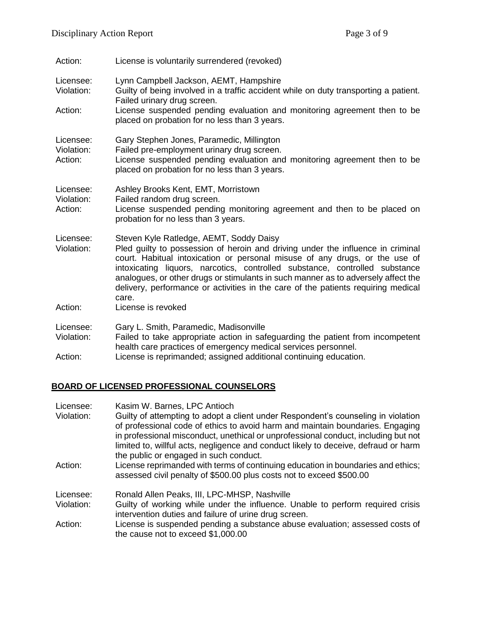| Action:                            | License is voluntarily surrendered (revoked)                                                                                                                                                                                                                                                                                                                                                                                                                                                      |
|------------------------------------|---------------------------------------------------------------------------------------------------------------------------------------------------------------------------------------------------------------------------------------------------------------------------------------------------------------------------------------------------------------------------------------------------------------------------------------------------------------------------------------------------|
| Licensee:<br>Violation:<br>Action: | Lynn Campbell Jackson, AEMT, Hampshire<br>Guilty of being involved in a traffic accident while on duty transporting a patient.<br>Failed urinary drug screen.<br>License suspended pending evaluation and monitoring agreement then to be                                                                                                                                                                                                                                                         |
|                                    | placed on probation for no less than 3 years.                                                                                                                                                                                                                                                                                                                                                                                                                                                     |
| Licensee:<br>Violation:<br>Action: | Gary Stephen Jones, Paramedic, Millington<br>Failed pre-employment urinary drug screen.<br>License suspended pending evaluation and monitoring agreement then to be<br>placed on probation for no less than 3 years.                                                                                                                                                                                                                                                                              |
| Licensee:<br>Violation:<br>Action: | Ashley Brooks Kent, EMT, Morristown<br>Failed random drug screen.<br>License suspended pending monitoring agreement and then to be placed on<br>probation for no less than 3 years.                                                                                                                                                                                                                                                                                                               |
| Licensee:<br>Violation:<br>Action: | Steven Kyle Ratledge, AEMT, Soddy Daisy<br>Pled guilty to possession of heroin and driving under the influence in criminal<br>court. Habitual intoxication or personal misuse of any drugs, or the use of<br>intoxicating liquors, narcotics, controlled substance, controlled substance<br>analogues, or other drugs or stimulants in such manner as to adversely affect the<br>delivery, performance or activities in the care of the patients requiring medical<br>care.<br>License is revoked |
|                                    |                                                                                                                                                                                                                                                                                                                                                                                                                                                                                                   |
| Licensee:<br>Violation:            | Gary L. Smith, Paramedic, Madisonville<br>Failed to take appropriate action in safeguarding the patient from incompetent<br>health care practices of emergency medical services personnel.                                                                                                                                                                                                                                                                                                        |
| Action:                            | License is reprimanded; assigned additional continuing education.                                                                                                                                                                                                                                                                                                                                                                                                                                 |

# **BOARD OF LICENSED PROFESSIONAL COUNSELORS**

| Licensee:  | Kasim W. Barnes, LPC Antioch                                                                                                                                                                                                                                                                                                                                                               |
|------------|--------------------------------------------------------------------------------------------------------------------------------------------------------------------------------------------------------------------------------------------------------------------------------------------------------------------------------------------------------------------------------------------|
| Violation: | Guilty of attempting to adopt a client under Respondent's counseling in violation<br>of professional code of ethics to avoid harm and maintain boundaries. Engaging<br>in professional misconduct, unethical or unprofessional conduct, including but not<br>limited to, willful acts, negligence and conduct likely to deceive, defraud or harm<br>the public or engaged in such conduct. |
| Action:    | License reprimanded with terms of continuing education in boundaries and ethics;<br>assessed civil penalty of \$500.00 plus costs not to exceed \$500.00                                                                                                                                                                                                                                   |
| Licensee:  | Ronald Allen Peaks, III, LPC-MHSP, Nashville                                                                                                                                                                                                                                                                                                                                               |
| Violation: | Guilty of working while under the influence. Unable to perform required crisis<br>intervention duties and failure of urine drug screen.                                                                                                                                                                                                                                                    |
| Action:    | License is suspended pending a substance abuse evaluation; assessed costs of<br>the cause not to exceed \$1,000.00                                                                                                                                                                                                                                                                         |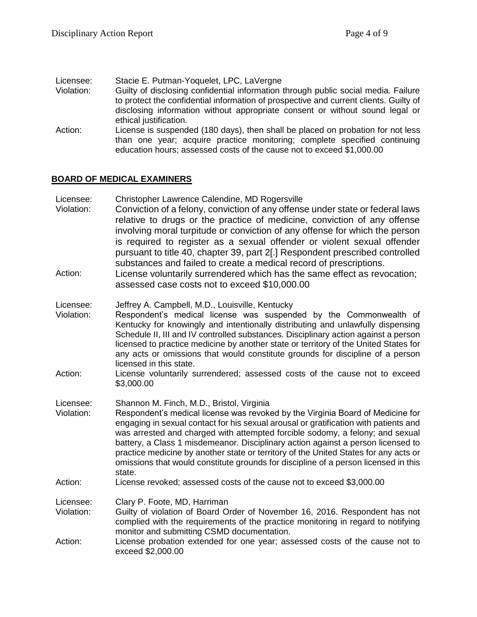Licensee: Stacie E. Putman-Yoquelet, LPC, LaVergne<br>Violation: Guilty of disclosing confidential information t

- Guilty of disclosing confidential information through public social media. Failure to protect the confidential information of prospective and current clients. Guilty of disclosing information without appropriate consent or without sound legal or ethical justification.
- Action: License is suspended (180 days), then shall be placed on probation for not less than one year; acquire practice monitoring; complete specified continuing education hours; assessed costs of the cause not to exceed \$1,000.00

### **BOARD OF MEDICAL EXAMINERS**

- Licensee: Christopher Lawrence Calendine, MD Rogersville
- Violation: Conviction of a felony, conviction of any offense under state or federal laws relative to drugs or the practice of medicine, conviction of any offense involving moral turpitude or conviction of any offense for which the person is required to register as a sexual offender or violent sexual offender pursuant to title 40, chapter 39, part 2[.] Respondent prescribed controlled substances and failed to create a medical record of prescriptions.
- Action: License voluntarily surrendered which has the same effect as revocation; assessed case costs not to exceed \$10,000.00
- Licensee: Jeffrey A. Campbell, M.D., Louisville, Kentucky
- Violation: Respondent's medical license was suspended by the Commonwealth of Kentucky for knowingly and intentionally distributing and unlawfully dispensing Schedule II, III and IV controlled substances. Disciplinary action against a person licensed to practice medicine by another state or territory of the United States for any acts or omissions that would constitute grounds for discipline of a person licensed in this state.
- Action: License voluntarily surrendered; assessed costs of the cause not to exceed \$3,000.00
- Licensee: Shannon M. Finch, M.D., Bristol, Virginia
- Violation: Respondent's medical license was revoked by the Virginia Board of Medicine for engaging in sexual contact for his sexual arousal or gratification with patients and was arrested and charged with attempted forcible sodomy, a felony; and sexual battery, a Class 1 misdemeanor. Disciplinary action against a person licensed to practice medicine by another state or territory of the United States for any acts or omissions that would constitute grounds for discipline of a person licensed in this state.
- Action: License revoked; assessed costs of the cause not to exceed \$3,000.00

Licensee: Clary P. Foote, MD, Harriman

- Violation: Guilty of violation of Board Order of November 16, 2016. Respondent has not complied with the requirements of the practice monitoring in regard to notifying monitor and submitting CSMD documentation.
- Action: License probation extended for one year; assessed costs of the cause not to exceed \$2,000.00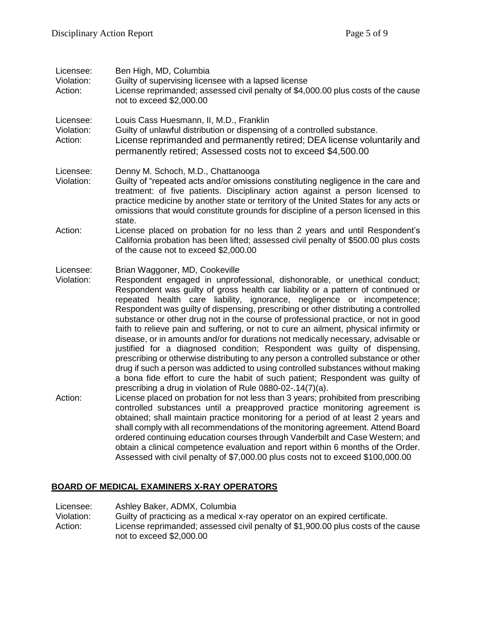| Licensee:<br>Violation:<br>Action: | Ben High, MD, Columbia<br>Guilty of supervising licensee with a lapsed license<br>License reprimanded; assessed civil penalty of \$4,000.00 plus costs of the cause<br>not to exceed \$2,000.00                                                                                                                                                                                                                                                                                                                                                                                                                                                                                                                                                                                                                                                                                                                                                                                |
|------------------------------------|--------------------------------------------------------------------------------------------------------------------------------------------------------------------------------------------------------------------------------------------------------------------------------------------------------------------------------------------------------------------------------------------------------------------------------------------------------------------------------------------------------------------------------------------------------------------------------------------------------------------------------------------------------------------------------------------------------------------------------------------------------------------------------------------------------------------------------------------------------------------------------------------------------------------------------------------------------------------------------|
| Licensee:<br>Violation:<br>Action: | Louis Cass Huesmann, II, M.D., Franklin<br>Guilty of unlawful distribution or dispensing of a controlled substance.<br>License reprimanded and permanently retired; DEA license voluntarily and<br>permanently retired; Assessed costs not to exceed \$4,500.00                                                                                                                                                                                                                                                                                                                                                                                                                                                                                                                                                                                                                                                                                                                |
| Licensee:<br>Violation:            | Denny M. Schoch, M.D., Chattanooga<br>Guilty of "repeated acts and/or omissions constituting negligence in the care and<br>treatment: of five patients. Disciplinary action against a person licensed to<br>practice medicine by another state or territory of the United States for any acts or<br>omissions that would constitute grounds for discipline of a person licensed in this<br>state.                                                                                                                                                                                                                                                                                                                                                                                                                                                                                                                                                                              |
| Action:                            | License placed on probation for no less than 2 years and until Respondent's<br>California probation has been lifted; assessed civil penalty of \$500.00 plus costs<br>of the cause not to exceed \$2,000.00                                                                                                                                                                                                                                                                                                                                                                                                                                                                                                                                                                                                                                                                                                                                                                    |
| Licensee:<br>Violation:            | Brian Waggoner, MD, Cookeville<br>Respondent engaged in unprofessional, dishonorable, or unethical conduct;<br>Respondent was guilty of gross health car liability or a pattern of continued or<br>repeated health care liability, ignorance, negligence or incompetence;<br>Respondent was guilty of dispensing, prescribing or other distributing a controlled<br>substance or other drug not in the course of professional practice, or not in good<br>faith to relieve pain and suffering, or not to cure an ailment, physical infirmity or<br>disease, or in amounts and/or for durations not medically necessary, advisable or<br>justified for a diagnosed condition; Respondent was guilty of dispensing,<br>prescribing or otherwise distributing to any person a controlled substance or other<br>drug if such a person was addicted to using controlled substances without making<br>a bona fide effort to cure the habit of such patient; Respondent was guilty of |
| Action:                            | prescribing a drug in violation of Rule 0880-02-.14(7)(a).<br>License placed on probation for not less than 3 years; prohibited from prescribing<br>controlled substances until a preapproved practice monitoring agreement is<br>obtained; shall maintain practice monitoring for a period of at least 2 years and                                                                                                                                                                                                                                                                                                                                                                                                                                                                                                                                                                                                                                                            |

# **BOARD OF MEDICAL EXAMINERS X-RAY OPERATORS**

Licensee: Ashley Baker, ADMX, Columbia<br>Violation: Guilty of practicing as a medical Violation: Guilty of practicing as a medical x-ray operator on an expired certificate. Action: License reprimanded; assessed civil penalty of \$1,900.00 plus costs of the cause not to exceed \$2,000.00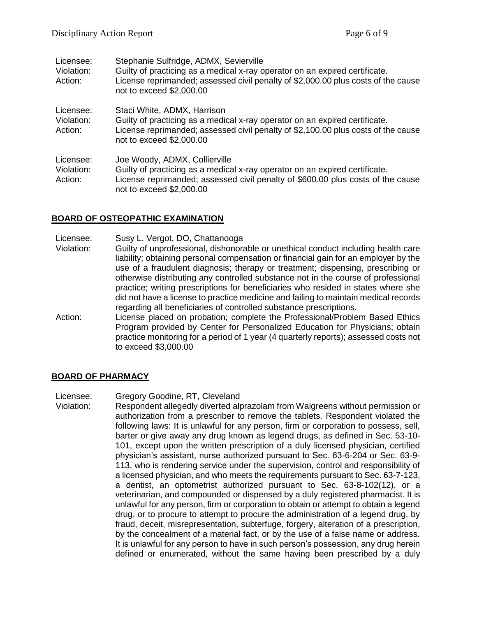| Licensee:<br>Violation:<br>Action: | Stephanie Sulfridge, ADMX, Sevierville<br>Guilty of practicing as a medical x-ray operator on an expired certificate.<br>License reprimanded; assessed civil penalty of \$2,000.00 plus costs of the cause<br>not to exceed \$2,000.00 |
|------------------------------------|----------------------------------------------------------------------------------------------------------------------------------------------------------------------------------------------------------------------------------------|
| Licensee:<br>Violation:<br>Action: | Staci White, ADMX, Harrison<br>Guilty of practicing as a medical x-ray operator on an expired certificate.<br>License reprimanded; assessed civil penalty of \$2,100.00 plus costs of the cause<br>not to exceed \$2,000.00            |
| Licensee:<br>Violation:<br>Action: | Joe Woody, ADMX, Collierville<br>Guilty of practicing as a medical x-ray operator on an expired certificate.<br>License reprimanded; assessed civil penalty of \$600.00 plus costs of the cause<br>not to exceed \$2,000.00            |

### **BOARD OF OSTEOPATHIC EXAMINATION**

- Licensee: Susy L. Vergot, DO, Chattanooga
- Violation: Guilty of unprofessional, dishonorable or unethical conduct including health care liability; obtaining personal compensation or financial gain for an employer by the use of a fraudulent diagnosis; therapy or treatment; dispensing, prescribing or otherwise distributing any controlled substance not in the course of professional practice; writing prescriptions for beneficiaries who resided in states where she did not have a license to practice medicine and failing to maintain medical records regarding all beneficiaries of controlled substance prescriptions.
- Action: License placed on probation; complete the Professional/Problem Based Ethics Program provided by Center for Personalized Education for Physicians; obtain practice monitoring for a period of 1 year (4 quarterly reports); assessed costs not to exceed \$3,000.00

### **BOARD OF PHARMACY**

Licensee: Gregory Goodine, RT, Cleveland

Violation: Respondent allegedly diverted alprazolam from Walgreens without permission or authorization from a prescriber to remove the tablets. Respondent violated the following laws: It is unlawful for any person, firm or corporation to possess, sell, barter or give away any drug known as legend drugs, as defined in Sec. 53-10- 101, except upon the written prescription of a duly licensed physician, certified physician's assistant, nurse authorized pursuant to Sec. 63-6-204 or Sec. 63-9- 113, who is rendering service under the supervision, control and responsibility of a licensed physician, and who meets the requirements pursuant to Sec. 63-7-123, a dentist, an optometrist authorized pursuant to Sec. 63-8-102(12), or a veterinarian, and compounded or dispensed by a duly registered pharmacist. It is unlawful for any person, firm or corporation to obtain or attempt to obtain a legend drug, or to procure to attempt to procure the administration of a legend drug, by fraud, deceit, misrepresentation, subterfuge, forgery, alteration of a prescription, by the concealment of a material fact, or by the use of a false name or address. It is unlawful for any person to have in such person's possession, any drug herein defined or enumerated, without the same having been prescribed by a duly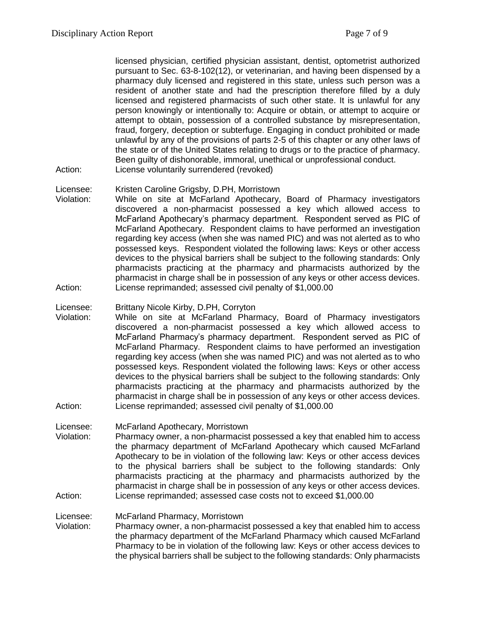licensed physician, certified physician assistant, dentist, optometrist authorized pursuant to Sec. 63-8-102(12), or veterinarian, and having been dispensed by a pharmacy duly licensed and registered in this state, unless such person was a resident of another state and had the prescription therefore filled by a duly licensed and registered pharmacists of such other state. It is unlawful for any person knowingly or intentionally to: Acquire or obtain, or attempt to acquire or attempt to obtain, possession of a controlled substance by misrepresentation, fraud, forgery, deception or subterfuge. Engaging in conduct prohibited or made unlawful by any of the provisions of parts 2-5 of this chapter or any other laws of the state or of the United States relating to drugs or to the practice of pharmacy. Been guilty of dishonorable, immoral, unethical or unprofessional conduct.

- Action: License voluntarily surrendered (revoked)
- Licensee: Kristen Caroline Grigsby, D.PH, Morristown
- Violation: While on site at McFarland Apothecary, Board of Pharmacy investigators discovered a non-pharmacist possessed a key which allowed access to McFarland Apothecary's pharmacy department. Respondent served as PIC of McFarland Apothecary. Respondent claims to have performed an investigation regarding key access (when she was named PIC) and was not alerted as to who possessed keys. Respondent violated the following laws: Keys or other access devices to the physical barriers shall be subject to the following standards: Only pharmacists practicing at the pharmacy and pharmacists authorized by the pharmacist in charge shall be in possession of any keys or other access devices. Action: License reprimanded; assessed civil penalty of \$1,000.00

#### Licensee: Brittany Nicole Kirby, D.PH, Corryton

Violation: While on site at McFarland Pharmacy, Board of Pharmacy investigators discovered a non-pharmacist possessed a key which allowed access to McFarland Pharmacy's pharmacy department. Respondent served as PIC of McFarland Pharmacy. Respondent claims to have performed an investigation regarding key access (when she was named PIC) and was not alerted as to who possessed keys. Respondent violated the following laws: Keys or other access devices to the physical barriers shall be subject to the following standards: Only pharmacists practicing at the pharmacy and pharmacists authorized by the pharmacist in charge shall be in possession of any keys or other access devices. Action: License reprimanded; assessed civil penalty of \$1,000.00

#### Licensee: McFarland Apothecary, Morristown

Violation: Pharmacy owner, a non-pharmacist possessed a key that enabled him to access the pharmacy department of McFarland Apothecary which caused McFarland Apothecary to be in violation of the following law: Keys or other access devices to the physical barriers shall be subject to the following standards: Only pharmacists practicing at the pharmacy and pharmacists authorized by the pharmacist in charge shall be in possession of any keys or other access devices. Action: License reprimanded; assessed case costs not to exceed \$1,000.00

#### Licensee: McFarland Pharmacy, Morristown

Violation: Pharmacy owner, a non-pharmacist possessed a key that enabled him to access the pharmacy department of the McFarland Pharmacy which caused McFarland Pharmacy to be in violation of the following law: Keys or other access devices to the physical barriers shall be subject to the following standards: Only pharmacists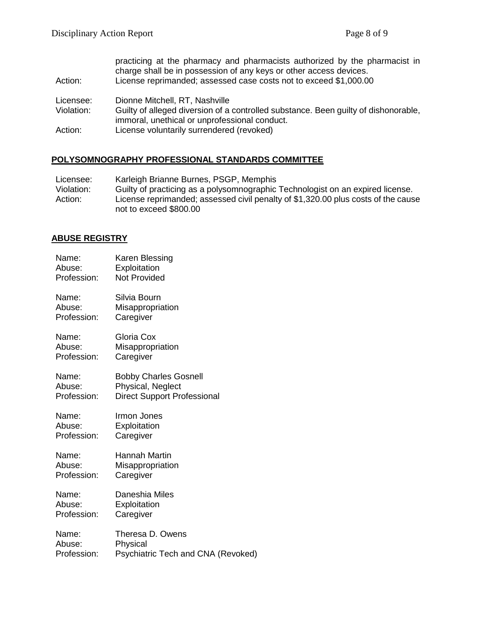| Action:    | practicing at the pharmacy and pharmacists authorized by the pharmacist in<br>charge shall be in possession of any keys or other access devices.<br>License reprimanded; assessed case costs not to exceed \$1,000.00 |
|------------|-----------------------------------------------------------------------------------------------------------------------------------------------------------------------------------------------------------------------|
| Licensee:  | Dionne Mitchell, RT, Nashville                                                                                                                                                                                        |
| Violation: | Guilty of alleged diversion of a controlled substance. Been guilty of dishonorable,                                                                                                                                   |
|            | immoral, unethical or unprofessional conduct.                                                                                                                                                                         |
| Action:    | License voluntarily surrendered (revoked)                                                                                                                                                                             |

# **POLYSOMNOGRAPHY PROFESSIONAL STANDARDS COMMITTEE**

| Licensee:  | Karleigh Brianne Burnes, PSGP, Memphis                                                                      |
|------------|-------------------------------------------------------------------------------------------------------------|
| Violation: | Guilty of practicing as a polysomnographic Technologist on an expired license.                              |
| Action:    | License reprimanded; assessed civil penalty of \$1,320.00 plus costs of the cause<br>not to exceed \$800.00 |

# **ABUSE REGISTRY**

| Name:       | Karen Blessing                     |
|-------------|------------------------------------|
| Abuse:      | Exploitation                       |
| Profession: | <b>Not Provided</b>                |
| Name:       | Silvia Bourn                       |
| Abuse:      | Misappropriation                   |
| Profession: | Caregiver                          |
| Name:       | Gloria Cox                         |
| Abuse:      | Misappropriation                   |
| Profession: | Caregiver                          |
| Name:       | <b>Bobby Charles Gosnell</b>       |
| Abuse:      | Physical, Neglect                  |
| Profession: | <b>Direct Support Professional</b> |
| Name:       | Irmon Jones                        |
| Abuse:      | Exploitation                       |
| Profession: | Caregiver                          |
| Name:       | Hannah Martin                      |
| Abuse:      | Misappropriation                   |
| Profession: | Caregiver                          |
| Name:       | Daneshia Miles                     |
| Abuse:      | Exploitation                       |
| Profession: | Caregiver                          |
| Name:       | Theresa D. Owens                   |
| Abuse:      | Physical                           |
| Profession: | Psychiatric Tech and CNA (Revoked) |